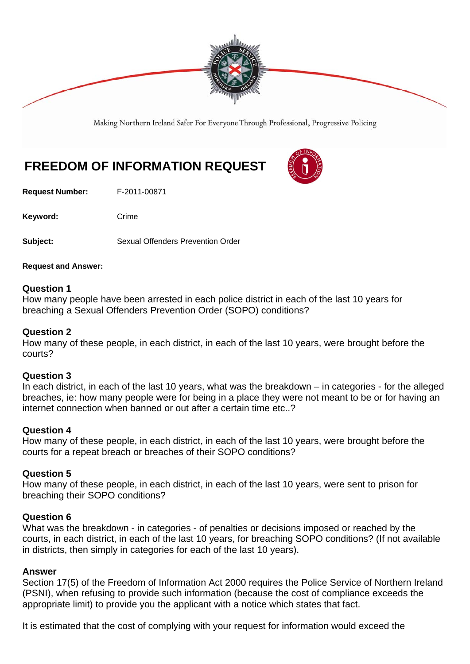

Making Northern Ireland Safer For Everyone Through Professional, Progressive Policing

# **FREEDOM OF INFORMATION REQUEST**

**Request Number:** F-2011-00871

Keyword: Crime

**Subject:** Sexual Offenders Prevention Order

**Request and Answer:** 

## **Question 1**

How many people have been arrested in each police district in each of the last 10 years for breaching a Sexual Offenders Prevention Order (SOPO) conditions?

### **Question 2**

How many of these people, in each district, in each of the last 10 years, were brought before the courts?

#### **Question 3**

In each district, in each of the last 10 years, what was the breakdown – in categories - for the alleged breaches, ie: how many people were for being in a place they were not meant to be or for having an internet connection when banned or out after a certain time etc..?

#### **Question 4**

How many of these people, in each district, in each of the last 10 years, were brought before the courts for a repeat breach or breaches of their SOPO conditions?

#### **Question 5**

How many of these people, in each district, in each of the last 10 years, were sent to prison for breaching their SOPO conditions?

# **Question 6**

What was the breakdown - in categories - of penalties or decisions imposed or reached by the courts, in each district, in each of the last 10 years, for breaching SOPO conditions? (If not available in districts, then simply in categories for each of the last 10 years).

#### **Answer**

Section 17(5) of the Freedom of Information Act 2000 requires the Police Service of Northern Ireland (PSNI), when refusing to provide such information (because the cost of compliance exceeds the appropriate limit) to provide you the applicant with a notice which states that fact.

It is estimated that the cost of complying with your request for information would exceed the